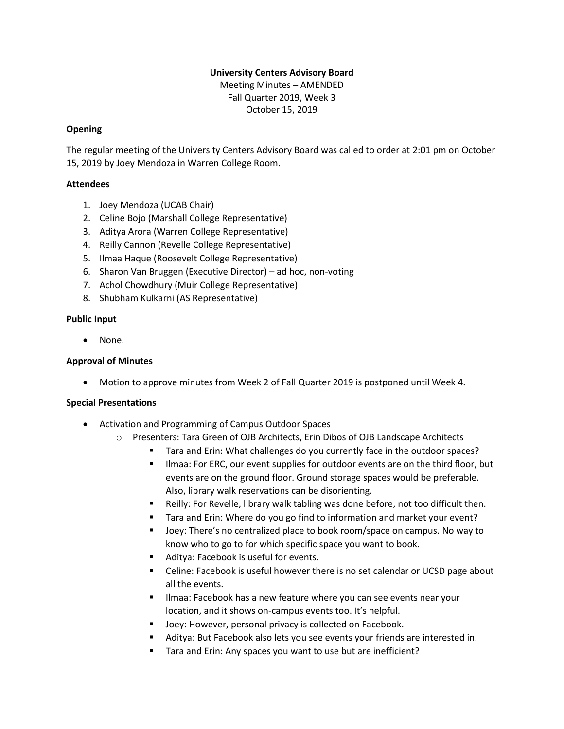# **University Centers Advisory Board**

Meeting Minutes – AMENDED Fall Quarter 2019, Week 3 October 15, 2019

### **Opening**

The regular meeting of the University Centers Advisory Board was called to order at 2:01 pm on October 15, 2019 by Joey Mendoza in Warren College Room.

## **Attendees**

- 1. Joey Mendoza (UCAB Chair)
- 2. Celine Bojo (Marshall College Representative)
- 3. Aditya Arora (Warren College Representative)
- 4. Reilly Cannon (Revelle College Representative)
- 5. Ilmaa Haque (Roosevelt College Representative)
- 6. Sharon Van Bruggen (Executive Director) ad hoc, non-voting
- 7. Achol Chowdhury (Muir College Representative)
- 8. Shubham Kulkarni (AS Representative)

## **Public Input**

• None.

# **Approval of Minutes**

• Motion to approve minutes from Week 2 of Fall Quarter 2019 is postponed until Week 4.

#### **Special Presentations**

- Activation and Programming of Campus Outdoor Spaces
	- o Presenters: Tara Green of OJB Architects, Erin Dibos of OJB Landscape Architects
		- Tara and Erin: What challenges do you currently face in the outdoor spaces?
		- Ilmaa: For ERC, our event supplies for outdoor events are on the third floor, but events are on the ground floor. Ground storage spaces would be preferable. Also, library walk reservations can be disorienting.
		- Reilly: For Revelle, library walk tabling was done before, not too difficult then.
		- Tara and Erin: Where do you go find to information and market your event?
		- Joey: There's no centralized place to book room/space on campus. No way to know who to go to for which specific space you want to book.
		- Aditya: Facebook is useful for events.
		- Celine: Facebook is useful however there is no set calendar or UCSD page about all the events.
		- **E** Ilmaa: Facebook has a new feature where you can see events near your location, and it shows on-campus events too. It's helpful.
		- Joey: However, personal privacy is collected on Facebook.
		- Aditya: But Facebook also lets you see events your friends are interested in.
		- Tara and Erin: Any spaces you want to use but are inefficient?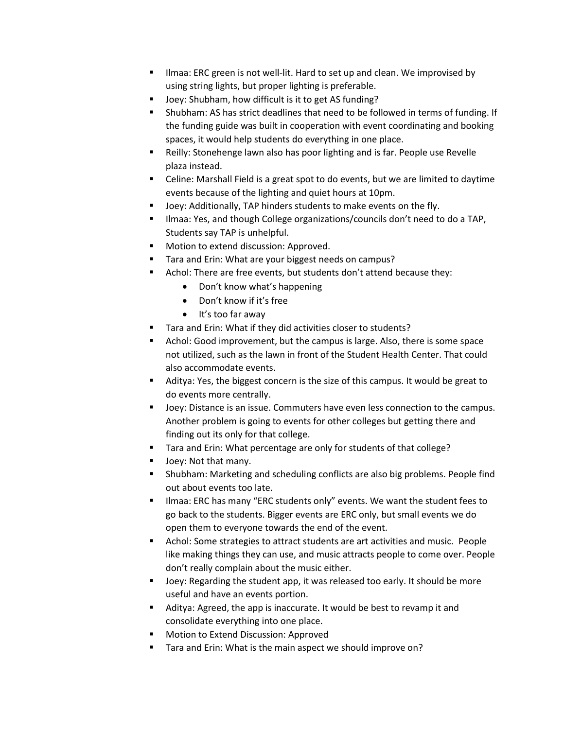- **.** Ilmaa: ERC green is not well-lit. Hard to set up and clean. We improvised by using string lights, but proper lighting is preferable.
- Joey: Shubham, how difficult is it to get AS funding?
- Shubham: AS has strict deadlines that need to be followed in terms of funding. If the funding guide was built in cooperation with event coordinating and booking spaces, it would help students do everything in one place.
- Reilly: Stonehenge lawn also has poor lighting and is far. People use Revelle plaza instead.
- Celine: Marshall Field is a great spot to do events, but we are limited to daytime events because of the lighting and quiet hours at 10pm.
- Joey: Additionally, TAP hinders students to make events on the fly.
- Ilmaa: Yes, and though College organizations/councils don't need to do a TAP, Students say TAP is unhelpful.
- Motion to extend discussion: Approved.
- Tara and Erin: What are your biggest needs on campus?
- Achol: There are free events, but students don't attend because they:
	- Don't know what's happening
	- Don't know if it's free
	- It's too far away
- Tara and Erin: What if they did activities closer to students?
- Achol: Good improvement, but the campus is large. Also, there is some space not utilized, such as the lawn in front of the Student Health Center. That could also accommodate events.
- Aditya: Yes, the biggest concern is the size of this campus. It would be great to do events more centrally.
- Joey: Distance is an issue. Commuters have even less connection to the campus. Another problem is going to events for other colleges but getting there and finding out its only for that college.
- Tara and Erin: What percentage are only for students of that college?
- Joey: Not that many.
- Shubham: Marketing and scheduling conflicts are also big problems. People find out about events too late.
- Ilmaa: ERC has many "ERC students only" events. We want the student fees to go back to the students. Bigger events are ERC only, but small events we do open them to everyone towards the end of the event.
- Achol: Some strategies to attract students are art activities and music. People like making things they can use, and music attracts people to come over. People don't really complain about the music either.
- Joey: Regarding the student app, it was released too early. It should be more useful and have an events portion.
- Aditya: Agreed, the app is inaccurate. It would be best to revamp it and consolidate everything into one place.
- Motion to Extend Discussion: Approved
- Tara and Erin: What is the main aspect we should improve on?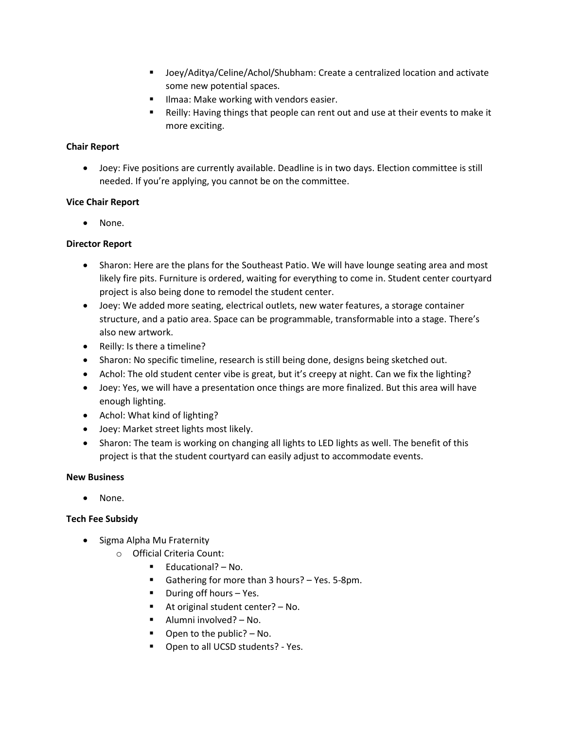- Joey/Aditya/Celine/Achol/Shubham: Create a centralized location and activate some new potential spaces.
- Ilmaa: Make working with vendors easier.
- Reilly: Having things that people can rent out and use at their events to make it more exciting.

## **Chair Report**

• Joey: Five positions are currently available. Deadline is in two days. Election committee is still needed. If you're applying, you cannot be on the committee.

## **Vice Chair Report**

• None.

## **Director Report**

- Sharon: Here are the plans for the Southeast Patio. We will have lounge seating area and most likely fire pits. Furniture is ordered, waiting for everything to come in. Student center courtyard project is also being done to remodel the student center.
- Joey: We added more seating, electrical outlets, new water features, a storage container structure, and a patio area. Space can be programmable, transformable into a stage. There's also new artwork.
- Reilly: Is there a timeline?
- Sharon: No specific timeline, research is still being done, designs being sketched out.
- Achol: The old student center vibe is great, but it's creepy at night. Can we fix the lighting?
- Joey: Yes, we will have a presentation once things are more finalized. But this area will have enough lighting.
- Achol: What kind of lighting?
- Joey: Market street lights most likely.
- Sharon: The team is working on changing all lights to LED lights as well. The benefit of this project is that the student courtyard can easily adjust to accommodate events.

#### **New Business**

• None.

# **Tech Fee Subsidy**

- Sigma Alpha Mu Fraternity
	- o Official Criteria Count:
		- Educational? No.
		- Gathering for more than 3 hours? Yes. 5-8pm.
		- During off hours Yes.
		- At original student center? No.
		- Alumni involved? No.
		- Open to the public? No.
		- Open to all UCSD students? Yes.